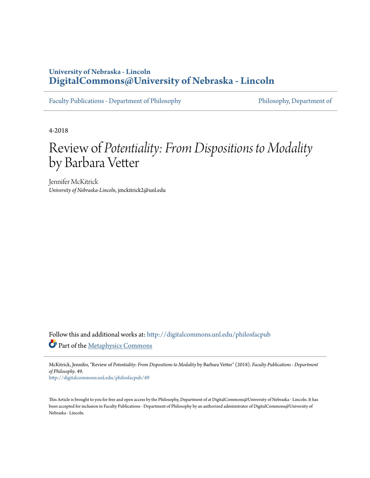## **University of Nebraska - Lincoln [DigitalCommons@University of Nebraska - Lincoln](http://digitalcommons.unl.edu?utm_source=digitalcommons.unl.edu%2Fphilosfacpub%2F49&utm_medium=PDF&utm_campaign=PDFCoverPages)**

[Faculty Publications - Department of Philosophy](http://digitalcommons.unl.edu/philosfacpub?utm_source=digitalcommons.unl.edu%2Fphilosfacpub%2F49&utm_medium=PDF&utm_campaign=PDFCoverPages) Philosophy [Philosophy, Department of](http://digitalcommons.unl.edu/philosophy?utm_source=digitalcommons.unl.edu%2Fphilosfacpub%2F49&utm_medium=PDF&utm_campaign=PDFCoverPages)

4-2018

# Review of *Potentiality: From Dispositions to Modality* by Barbara Vetter

Jennifer McKitrick *University of Nebraska-Lincoln*, jmckitrick2@unl.edu

Follow this and additional works at: [http://digitalcommons.unl.edu/philosfacpub](http://digitalcommons.unl.edu/philosfacpub?utm_source=digitalcommons.unl.edu%2Fphilosfacpub%2F49&utm_medium=PDF&utm_campaign=PDFCoverPages) Part of the [Metaphysics Commons](http://network.bepress.com/hgg/discipline/533?utm_source=digitalcommons.unl.edu%2Fphilosfacpub%2F49&utm_medium=PDF&utm_campaign=PDFCoverPages)

McKitrick, Jennifer, "Review of *Potentiality: From Dispositions to Modality* by Barbara Vetter" (2018). *Faculty Publications - Department of Philosophy*. 49.

[http://digitalcommons.unl.edu/philosfacpub/49](http://digitalcommons.unl.edu/philosfacpub/49?utm_source=digitalcommons.unl.edu%2Fphilosfacpub%2F49&utm_medium=PDF&utm_campaign=PDFCoverPages)

This Article is brought to you for free and open access by the Philosophy, Department of at DigitalCommons@University of Nebraska - Lincoln. It has been accepted for inclusion in Faculty Publications - Department of Philosophy by an authorized administrator of DigitalCommons@University of Nebraska - Lincoln.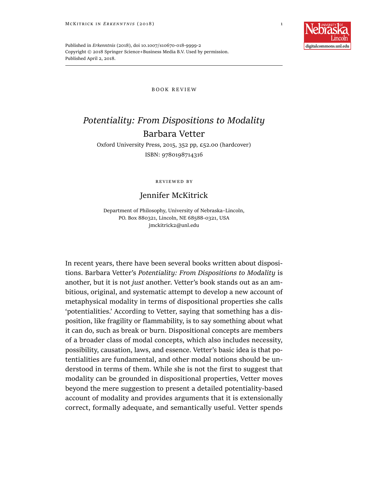

Published in *Erkenntnis* (2018), doi 10.1007/s10670-018-9999-2 Copyright © 2018 Springer Science+Business Media B.V. Used by permission. Published April 2, 2018.

#### B O O K R E V I E W

# *Potentiality: From Dispositions to Modality* Barbara Vetter

Oxford University Press, 2015, 352 pp, £52.00 (hardcover) ISBN: 9780198714316

reviewed by

### Jennifer McKitrick

Department of Philosophy, University of Nebraska–Lincoln, PO. Box 880321, Lincoln, NE 68588-0321, USA jmckitrick2@unl.edu

In recent years, there have been several books written about dispositions. Barbara Vetter's *Potentiality: From Dispositions to Modality* is another, but it is not *just* another. Vetter's book stands out as an ambitious, original, and systematic attempt to develop a new account of metaphysical modality in terms of dispositional properties she calls 'potentialities.' According to Vetter, saying that something has a disposition, like fragility or flammability, is to say something about what it can do, such as break or burn. Dispositional concepts are members of a broader class of modal concepts, which also includes necessity, possibility, causation, laws, and essence. Vetter's basic idea is that potentialities are fundamental, and other modal notions should be understood in terms of them. While she is not the first to suggest that modality can be grounded in dispositional properties, Vetter moves beyond the mere suggestion to present a detailed potentiality-based account of modality and provides arguments that it is extensionally correct, formally adequate, and semantically useful. Vetter spends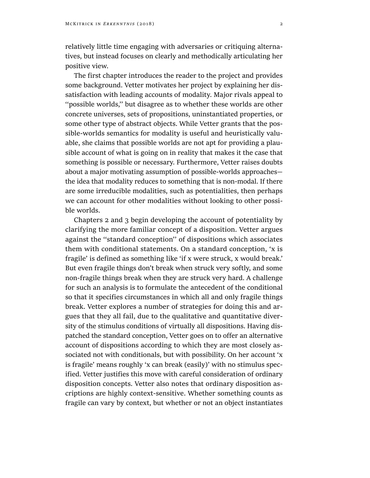relatively little time engaging with adversaries or critiquing alternatives, but instead focuses on clearly and methodically articulating her positive view.

The first chapter introduces the reader to the project and provides some background. Vetter motivates her project by explaining her dissatisfaction with leading accounts of modality. Major rivals appeal to ''possible worlds,'' but disagree as to whether these worlds are other concrete universes, sets of propositions, uninstantiated properties, or some other type of abstract objects. While Vetter grants that the possible-worlds semantics for modality is useful and heuristically valuable, she claims that possible worlds are not apt for providing a plausible account of what is going on in reality that makes it the case that something is possible or necessary. Furthermore, Vetter raises doubts about a major motivating assumption of possible-worlds approaches the idea that modality reduces to something that is non-modal. If there are some irreducible modalities, such as potentialities, then perhaps we can account for other modalities without looking to other possible worlds.

Chapters 2 and 3 begin developing the account of potentiality by clarifying the more familiar concept of a disposition. Vetter argues against the ''standard conception'' of dispositions which associates them with conditional statements. On a standard conception, 'x is fragile' is defined as something like 'if x were struck, x would break.' But even fragile things don't break when struck very softly, and some non-fragile things break when they are struck very hard. A challenge for such an analysis is to formulate the antecedent of the conditional so that it specifies circumstances in which all and only fragile things break. Vetter explores a number of strategies for doing this and argues that they all fail, due to the qualitative and quantitative diversity of the stimulus conditions of virtually all dispositions. Having dispatched the standard conception, Vetter goes on to offer an alternative account of dispositions according to which they are most closely associated not with conditionals, but with possibility. On her account 'x is fragile' means roughly 'x can break (easily)' with no stimulus specified. Vetter justifies this move with careful consideration of ordinary disposition concepts. Vetter also notes that ordinary disposition ascriptions are highly context-sensitive. Whether something counts as fragile can vary by context, but whether or not an object instantiates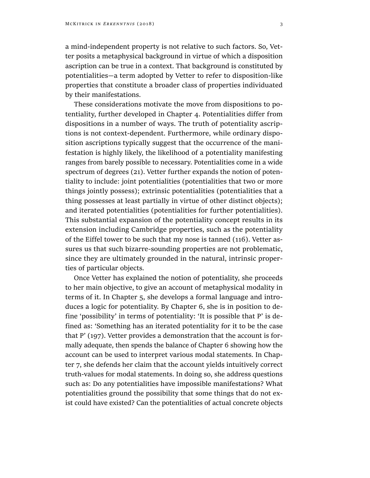a mind-independent property is not relative to such factors. So, Vetter posits a metaphysical background in virtue of which a disposition ascription can be true in a context. That background is constituted by potentialities—a term adopted by Vetter to refer to disposition-like properties that constitute a broader class of properties individuated by their manifestations.

These considerations motivate the move from dispositions to potentiality, further developed in Chapter 4. Potentialities differ from dispositions in a number of ways. The truth of potentiality ascriptions is not context-dependent. Furthermore, while ordinary disposition ascriptions typically suggest that the occurrence of the manifestation is highly likely, the likelihood of a potentiality manifesting ranges from barely possible to necessary. Potentialities come in a wide spectrum of degrees (21). Vetter further expands the notion of potentiality to include: joint potentialities (potentialities that two or more things jointly possess); extrinsic potentialities (potentialities that a thing possesses at least partially in virtue of other distinct objects); and iterated potentialities (potentialities for further potentialities). This substantial expansion of the potentiality concept results in its extension including Cambridge properties, such as the potentiality of the Eiffel tower to be such that my nose is tanned (116). Vetter assures us that such bizarre-sounding properties are not problematic, since they are ultimately grounded in the natural, intrinsic properties of particular objects.

Once Vetter has explained the notion of potentiality, she proceeds to her main objective, to give an account of metaphysical modality in terms of it. In Chapter 5, she develops a formal language and introduces a logic for potentiality. By Chapter 6, she is in position to define 'possibility' in terms of potentiality: 'It is possible that P' is defined as: 'Something has an iterated potentiality for it to be the case that P' (197). Vetter provides a demonstration that the account is formally adequate, then spends the balance of Chapter 6 showing how the account can be used to interpret various modal statements. In Chapter 7, she defends her claim that the account yields intuitively correct truth-values for modal statements. In doing so, she address questions such as: Do any potentialities have impossible manifestations? What potentialities ground the possibility that some things that do not exist could have existed? Can the potentialities of actual concrete objects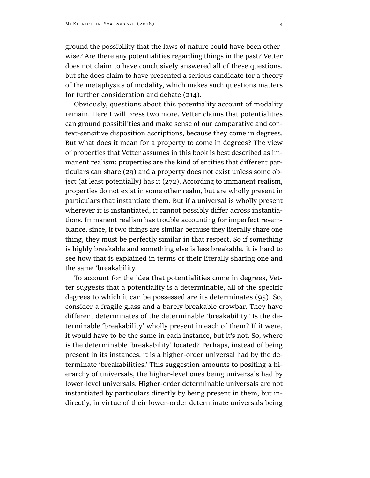ground the possibility that the laws of nature could have been otherwise? Are there any potentialities regarding things in the past? Vetter does not claim to have conclusively answered all of these questions, but she does claim to have presented a serious candidate for a theory of the metaphysics of modality, which makes such questions matters for further consideration and debate (214).

Obviously, questions about this potentiality account of modality remain. Here I will press two more. Vetter claims that potentialities can ground possibilities and make sense of our comparative and context-sensitive disposition ascriptions, because they come in degrees. But what does it mean for a property to come in degrees? The view of properties that Vetter assumes in this book is best described as immanent realism: properties are the kind of entities that different particulars can share (29) and a property does not exist unless some object (at least potentially) has it (272). According to immanent realism, properties do not exist in some other realm, but are wholly present in particulars that instantiate them. But if a universal is wholly present wherever it is instantiated, it cannot possibly differ across instantiations. Immanent realism has trouble accounting for imperfect resemblance, since, if two things are similar because they literally share one thing, they must be perfectly similar in that respect. So if something is highly breakable and something else is less breakable, it is hard to see how that is explained in terms of their literally sharing one and the same 'breakability.'

To account for the idea that potentialities come in degrees, Vetter suggests that a potentiality is a determinable, all of the specific degrees to which it can be possessed are its determinates (95). So, consider a fragile glass and a barely breakable crowbar. They have different determinates of the determinable 'breakability.' Is the determinable 'breakability' wholly present in each of them? If it were, it would have to be the same in each instance, but it's not. So, where is the determinable 'breakability' located? Perhaps, instead of being present in its instances, it is a higher-order universal had by the determinate 'breakabilities.' This suggestion amounts to positing a hierarchy of universals, the higher-level ones being universals had by lower-level universals. Higher-order determinable universals are not instantiated by particulars directly by being present in them, but indirectly, in virtue of their lower-order determinate universals being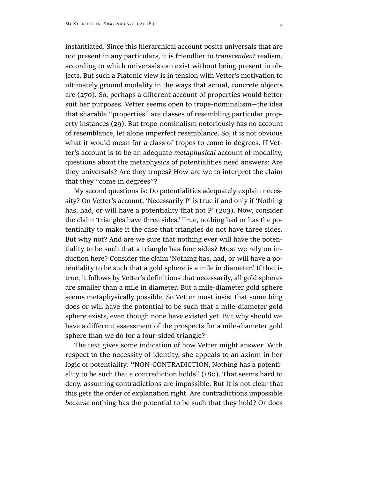instantiated. Since this hierarchical account posits universals that are not present in any particulars, it is friendlier to *transcendent* realism, according to which universals can exist without being present in objects. But such a Platonic view is in tension with Vetter's motivation to ultimately ground modality in the ways that actual, concrete objects are (270). So, perhaps a different account of properties would better suit her purposes. Vetter seems open to trope-nominalism—the idea that sharable ''properties'' are classes of resembling particular property instances (29). But trope-nominalism notoriously has no account of resemblance, let alone imperfect resemblance. So, it is not obvious what it would mean for a class of tropes to come in degrees. If Vetter's account is to be an adequate *metaphysical* account of modality, questions about the metaphysics of potentialities need answers: Are they universals? Are they tropes? How are we to interpret the claim that they ''come in degrees''?

My second questions is: Do potentialities adequately explain necessity? On Vetter's account, 'Necessarily P' is true if and only if 'Nothing has, had, or will have a potentiality that not P' (203). Now, consider the claim 'triangles have three sides.' True, nothing had or has the potentiality to make it the case that triangles do not have three sides. But why not? And are we sure that nothing ever will have the potentiality to be such that a triangle has four sides? Must we rely on induction here? Consider the claim 'Nothing has, had, or will have a potentiality to be such that a gold sphere is a mile in diameter.' If that is true, it follows by Vetter's definitions that necessarily, all gold spheres are smaller than a mile in diameter. But a mile-diameter gold sphere seems metaphysically possible. So Vetter must insist that something does or will have the potential to be such that a mile-diameter gold sphere exists, even though none have existed yet. But why should we have a different assessment of the prospects for a mile-diameter gold sphere than we do for a four-sided triangle?

The text gives some indication of how Vetter might answer. With respect to the necessity of identity, she appeals to an axiom in her logic of potentiality: ''NON-CONTRADICTION, Nothing has a potentiality to be such that a contradiction holds'' (180). That seems hard to deny, assuming contradictions are impossible. But it is not clear that this gets the order of explanation right. Are contradictions impossible *because* nothing has the potential to be such that they hold? Or does